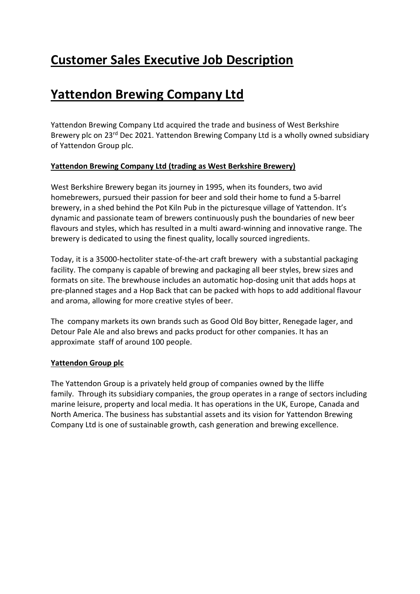# **Customer Sales Executive Job Description**

# **Yattendon Brewing Company Ltd**

Yattendon Brewing Company Ltd acquired the trade and business of West Berkshire Brewery plc on 23<sup>rd</sup> Dec 2021. Yattendon Brewing Company Ltd is a wholly owned subsidiary of Yattendon Group plc.

## **Yattendon Brewing Company Ltd (trading as West Berkshire Brewery)**

West Berkshire Brewery began its journey in 1995, when its founders, two avid homebrewers, pursued their passion for beer and sold their home to fund a 5-barrel brewery, in a shed behind the Pot Kiln Pub in the picturesque village of Yattendon. It's dynamic and passionate team of brewers continuously push the boundaries of new beer flavours and styles, which has resulted in a multi award-winning and innovative range. The brewery is dedicated to using the finest quality, locally sourced ingredients.

Today, it is a 35000-hectoliter state-of-the-art craft brewery with a substantial packaging facility. The company is capable of brewing and packaging all beer styles, brew sizes and formats on site. The brewhouse includes an automatic hop-dosing unit that adds hops at pre-planned stages and a Hop Back that can be packed with hops to add additional flavour and aroma, allowing for more creative styles of beer.

The company markets its own brands such as Good Old Boy bitter, Renegade lager, and Detour Pale Ale and also brews and packs product for other companies. It has an approximate staff of around 100 people.

### **Yattendon Group plc**

The Yattendon Group is a privately held group of companies owned by the Iliffe family. Through its subsidiary companies, the group operates in a range of sectors including marine leisure, property and local media. It has operations in the UK, Europe, Canada and North America. The business has substantial assets and its vision for Yattendon Brewing Company Ltd is one of sustainable growth, cash generation and brewing excellence.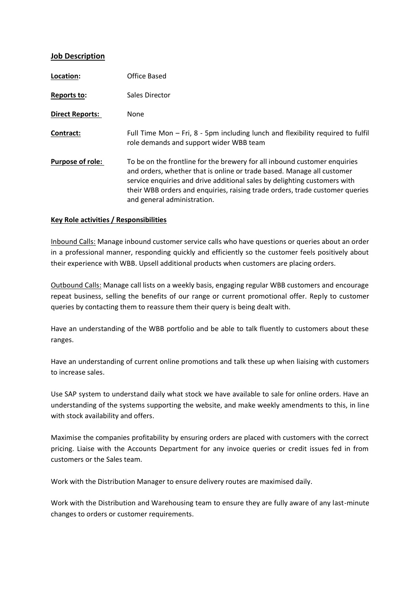#### **Job Description**

| Location:               | Office Based                                                                                                                                                                                                                                                                                                                                    |
|-------------------------|-------------------------------------------------------------------------------------------------------------------------------------------------------------------------------------------------------------------------------------------------------------------------------------------------------------------------------------------------|
| Reports to:             | Sales Director                                                                                                                                                                                                                                                                                                                                  |
| <b>Direct Reports:</b>  | None                                                                                                                                                                                                                                                                                                                                            |
| Contract:               | Full Time Mon - Fri, 8 - 5pm including lunch and flexibility required to fulfil<br>role demands and support wider WBB team                                                                                                                                                                                                                      |
| <b>Purpose of role:</b> | To be on the frontline for the brewery for all inbound customer enquiries<br>and orders, whether that is online or trade based. Manage all customer<br>service enquiries and drive additional sales by delighting customers with<br>their WBB orders and enquiries, raising trade orders, trade customer queries<br>and general administration. |

#### **Key Role activities / Responsibilities**

Inbound Calls: Manage inbound customer service calls who have questions or queries about an order in a professional manner, responding quickly and efficiently so the customer feels positively about their experience with WBB. Upsell additional products when customers are placing orders.

Outbound Calls: Manage call lists on a weekly basis, engaging regular WBB customers and encourage repeat business, selling the benefits of our range or current promotional offer. Reply to customer queries by contacting them to reassure them their query is being dealt with.

Have an understanding of the WBB portfolio and be able to talk fluently to customers about these ranges.

Have an understanding of current online promotions and talk these up when liaising with customers to increase sales.

Use SAP system to understand daily what stock we have available to sale for online orders. Have an understanding of the systems supporting the website, and make weekly amendments to this, in line with stock availability and offers.

Maximise the companies profitability by ensuring orders are placed with customers with the correct pricing. Liaise with the Accounts Department for any invoice queries or credit issues fed in from customers or the Sales team.

Work with the Distribution Manager to ensure delivery routes are maximised daily.

Work with the Distribution and Warehousing team to ensure they are fully aware of any last-minute changes to orders or customer requirements.